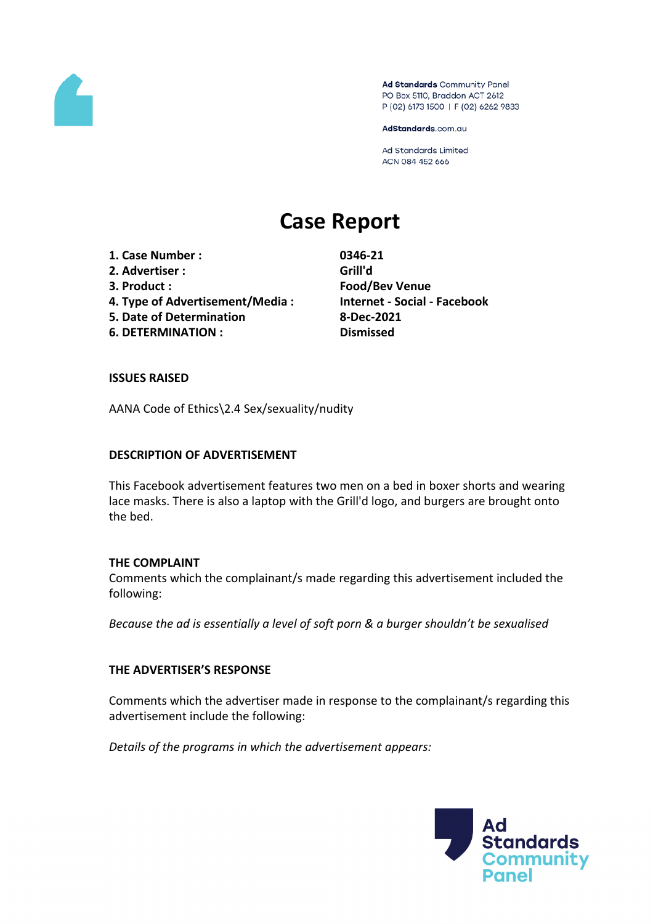

Ad Standards Community Panel PO Box 5110, Braddon ACT 2612 P (02) 6173 1500 | F (02) 6262 9833

AdStandards.com.au

Ad Standards Limited ACN 084 452 666

# **Case Report**

- **1. Case Number : 0346-21**
- **2. Advertiser : Grill'd**
- 
- **4. Type of Advertisement/Media : Internet - Social - Facebook**
- **5. Date of Determination 8-Dec-2021**
- **6. DETERMINATION : Dismissed**

**3. Product : Food/Bev Venue**

#### **ISSUES RAISED**

AANA Code of Ethics\2.4 Sex/sexuality/nudity

#### **DESCRIPTION OF ADVERTISEMENT**

This Facebook advertisement features two men on a bed in boxer shorts and wearing lace masks. There is also a laptop with the Grill'd logo, and burgers are brought onto the bed.

#### **THE COMPLAINT**

Comments which the complainant/s made regarding this advertisement included the following:

*Because the ad is essentially a level of soft porn & a burger shouldn't be sexualised*

### **THE ADVERTISER'S RESPONSE**

Comments which the advertiser made in response to the complainant/s regarding this advertisement include the following:

*Details of the programs in which the advertisement appears:*

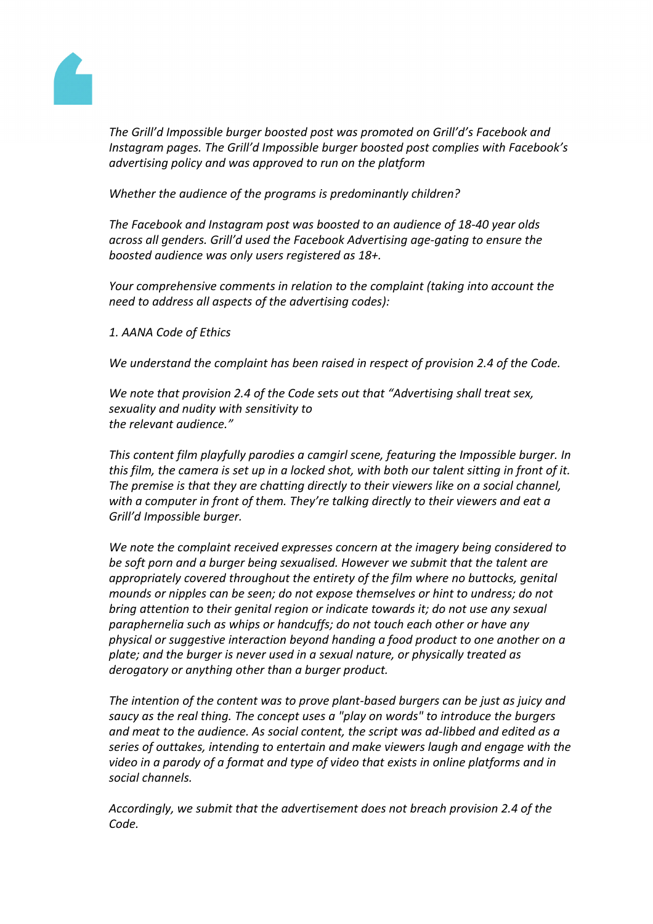

*The Grill'd Impossible burger boosted post was promoted on Grill'd's Facebook and Instagram pages. The Grill'd Impossible burger boosted post complies with Facebook's advertising policy and was approved to run on the platform*

*Whether the audience of the programs is predominantly children?*

*The Facebook and Instagram post was boosted to an audience of 18-40 year olds across all genders. Grill'd used the Facebook Advertising age-gating to ensure the boosted audience was only users registered as 18+.*

*Your comprehensive comments in relation to the complaint (taking into account the need to address all aspects of the advertising codes):*

*1. AANA Code of Ethics*

*We understand the complaint has been raised in respect of provision 2.4 of the Code.*

*We note that provision 2.4 of the Code sets out that "Advertising shall treat sex, sexuality and nudity with sensitivity to the relevant audience."*

*This content film playfully parodies a camgirl scene, featuring the Impossible burger. In* this film, the camera is set up in a locked shot, with both our talent sitting in front of it. *The premise is that they are chatting directly to their viewers like on a social channel, with a computer in front of them. They're talking directly to their viewers and eat a Grill'd Impossible burger.*

*We note the complaint received expresses concern at the imagery being considered to be soft porn and a burger being sexualised. However we submit that the talent are appropriately covered throughout the entirety of the film where no buttocks, genital mounds or nipples can be seen; do not expose themselves or hint to undress; do not bring attention to their genital region or indicate towards it; do not use any sexual paraphernelia such as whips or handcuffs; do not touch each other or have any physical or suggestive interaction beyond handing a food product to one another on a plate; and the burger is never used in a sexual nature, or physically treated as derogatory or anything other than a burger product.*

*The intention of the content was to prove plant-based burgers can be just as juicy and saucy as the real thing. The concept uses a "play on words" to introduce the burgers and meat to the audience. As social content, the script was ad-libbed and edited as a series of outtakes, intending to entertain and make viewers laugh and engage with the video in a parody of a format and type of video that exists in online platforms and in social channels.*

*Accordingly, we submit that the advertisement does not breach provision 2.4 of the Code.*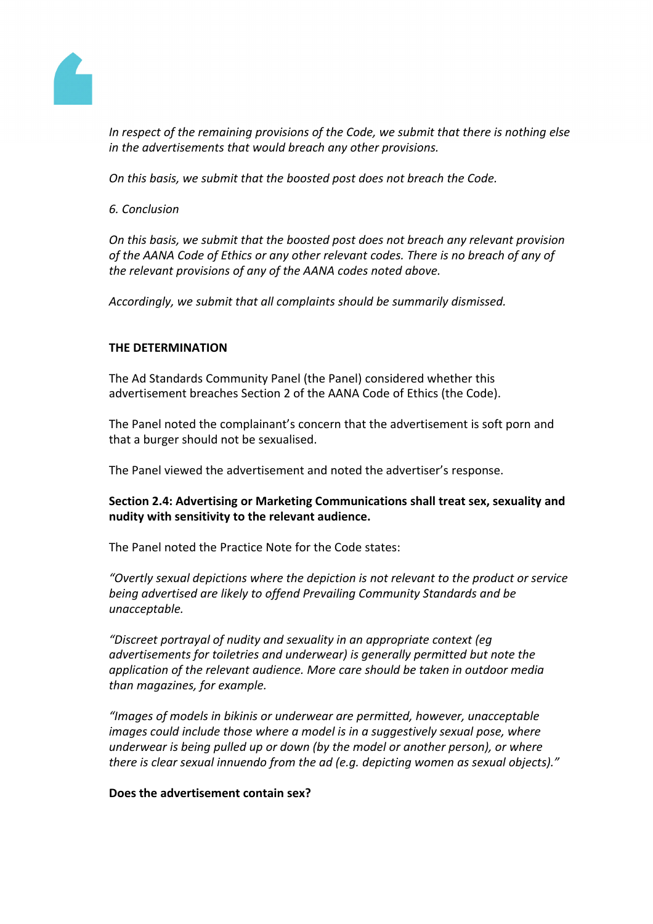

*In respect of the remaining provisions of the Code, we submit that there is nothing else in the advertisements that would breach any other provisions.*

*On this basis, we submit that the boosted post does not breach the Code.*

*6. Conclusion*

*On this basis, we submit that the boosted post does not breach any relevant provision of the AANA Code of Ethics or any other relevant codes. There is no breach of any of the relevant provisions of any of the AANA codes noted above.*

*Accordingly, we submit that all complaints should be summarily dismissed.*

## **THE DETERMINATION**

The Ad Standards Community Panel (the Panel) considered whether this advertisement breaches Section 2 of the AANA Code of Ethics (the Code).

The Panel noted the complainant's concern that the advertisement is soft porn and that a burger should not be sexualised.

The Panel viewed the advertisement and noted the advertiser's response.

**Section 2.4: Advertising or Marketing Communications shall treat sex, sexuality and nudity with sensitivity to the relevant audience.**

The Panel noted the Practice Note for the Code states:

*"Overtly sexual depictions where the depiction is not relevant to the product or service being advertised are likely to offend Prevailing Community Standards and be unacceptable.*

*"Discreet portrayal of nudity and sexuality in an appropriate context (eg advertisements for toiletries and underwear) is generally permitted but note the application of the relevant audience. More care should be taken in outdoor media than magazines, for example.*

*"Images of models in bikinis or underwear are permitted, however, unacceptable images could include those where a model is in a suggestively sexual pose, where underwear is being pulled up or down (by the model or another person), or where there is clear sexual innuendo from the ad (e.g. depicting women as sexual objects)."*

### **Does the advertisement contain sex?**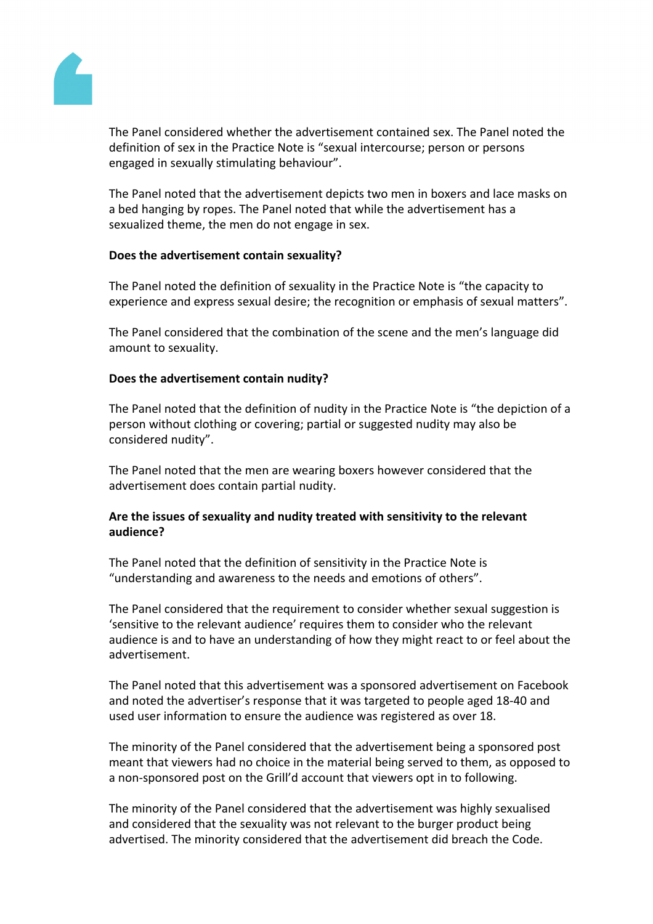

The Panel considered whether the advertisement contained sex. The Panel noted the definition of sex in the Practice Note is "sexual intercourse; person or persons engaged in sexually stimulating behaviour".

The Panel noted that the advertisement depicts two men in boxers and lace masks on a bed hanging by ropes. The Panel noted that while the advertisement has a sexualized theme, the men do not engage in sex.

### **Does the advertisement contain sexuality?**

The Panel noted the definition of sexuality in the Practice Note is "the capacity to experience and express sexual desire; the recognition or emphasis of sexual matters".

The Panel considered that the combination of the scene and the men's language did amount to sexuality.

### **Does the advertisement contain nudity?**

The Panel noted that the definition of nudity in the Practice Note is "the depiction of a person without clothing or covering; partial or suggested nudity may also be considered nudity".

The Panel noted that the men are wearing boxers however considered that the advertisement does contain partial nudity.

# **Are the issues of sexuality and nudity treated with sensitivity to the relevant audience?**

The Panel noted that the definition of sensitivity in the Practice Note is "understanding and awareness to the needs and emotions of others".

The Panel considered that the requirement to consider whether sexual suggestion is 'sensitive to the relevant audience' requires them to consider who the relevant audience is and to have an understanding of how they might react to or feel about the advertisement.

The Panel noted that this advertisement was a sponsored advertisement on Facebook and noted the advertiser's response that it was targeted to people aged 18-40 and used user information to ensure the audience was registered as over 18.

The minority of the Panel considered that the advertisement being a sponsored post meant that viewers had no choice in the material being served to them, as opposed to a non-sponsored post on the Grill'd account that viewers opt in to following.

The minority of the Panel considered that the advertisement was highly sexualised and considered that the sexuality was not relevant to the burger product being advertised. The minority considered that the advertisement did breach the Code.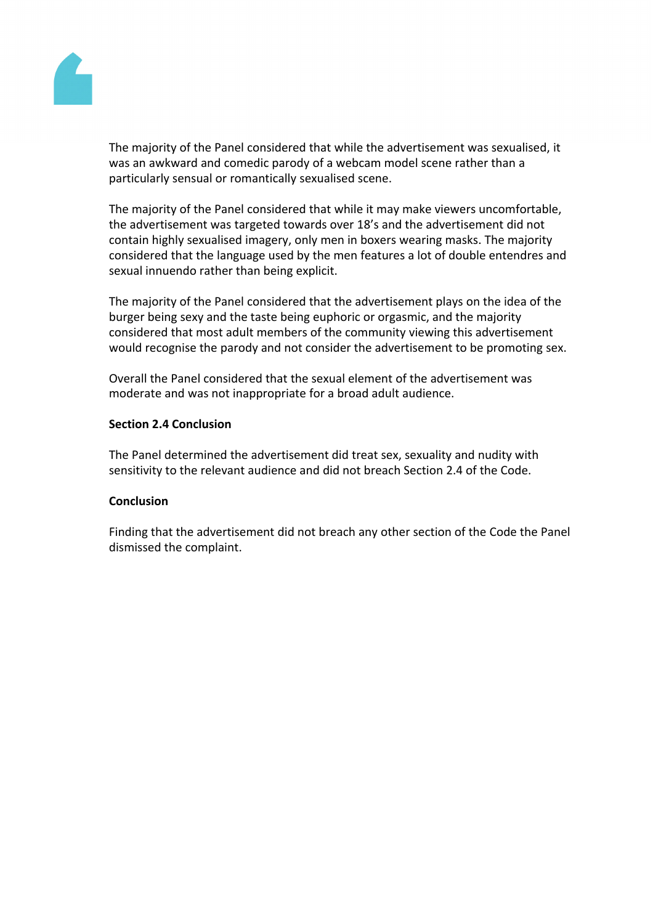

The majority of the Panel considered that while the advertisement was sexualised, it was an awkward and comedic parody of a webcam model scene rather than a particularly sensual or romantically sexualised scene.

The majority of the Panel considered that while it may make viewers uncomfortable, the advertisement was targeted towards over 18's and the advertisement did not contain highly sexualised imagery, only men in boxers wearing masks. The majority considered that the language used by the men features a lot of double entendres and sexual innuendo rather than being explicit.

The majority of the Panel considered that the advertisement plays on the idea of the burger being sexy and the taste being euphoric or orgasmic, and the majority considered that most adult members of the community viewing this advertisement would recognise the parody and not consider the advertisement to be promoting sex.

Overall the Panel considered that the sexual element of the advertisement was moderate and was not inappropriate for a broad adult audience.

#### **Section 2.4 Conclusion**

The Panel determined the advertisement did treat sex, sexuality and nudity with sensitivity to the relevant audience and did not breach Section 2.4 of the Code.

### **Conclusion**

Finding that the advertisement did not breach any other section of the Code the Panel dismissed the complaint.